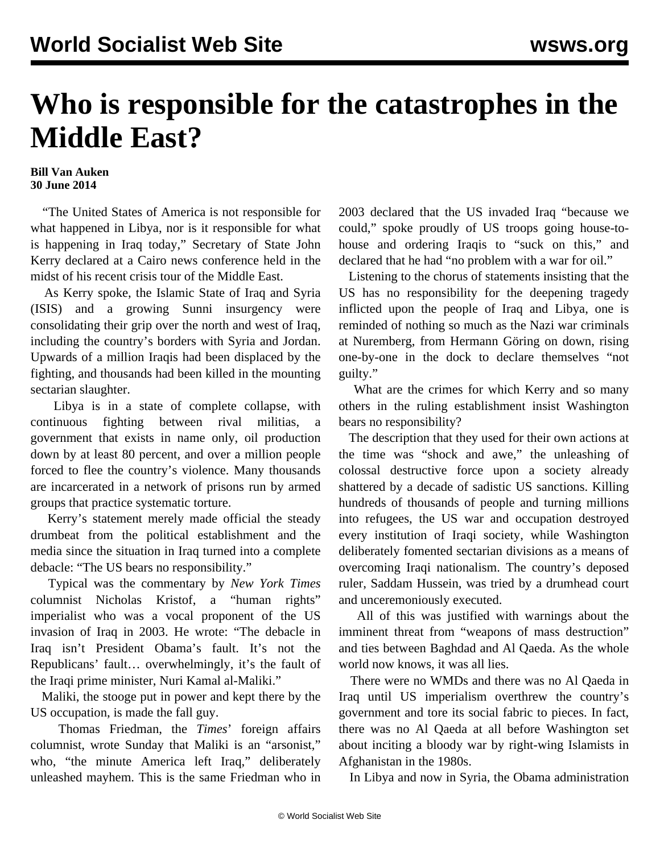## **Who is responsible for the catastrophes in the Middle East?**

## **Bill Van Auken 30 June 2014**

 "The United States of America is not responsible for what happened in Libya, nor is it responsible for what is happening in Iraq today," Secretary of State John Kerry declared at a Cairo news conference held in the midst of his recent crisis tour of the Middle East.

 As Kerry spoke, the Islamic State of Iraq and Syria (ISIS) and a growing Sunni insurgency were consolidating their grip over the north and west of Iraq, including the country's borders with Syria and Jordan. Upwards of a million Iraqis had been displaced by the fighting, and thousands had been killed in the mounting sectarian slaughter.

 Libya is in a state of complete collapse, with continuous fighting between rival militias, a government that exists in name only, oil production down by at least 80 percent, and over a million people forced to flee the country's violence. Many thousands are incarcerated in a network of prisons run by armed groups that practice systematic torture.

 Kerry's statement merely made official the steady drumbeat from the political establishment and the media since the situation in Iraq turned into a complete debacle: "The US bears no responsibility."

 Typical was the commentary by *New York Times* columnist Nicholas Kristof, a "human rights" imperialist who was a vocal proponent of the US invasion of Iraq in 2003. He wrote: "The debacle in Iraq isn't President Obama's fault. It's not the Republicans' fault… overwhelmingly, it's the fault of the Iraqi prime minister, Nuri Kamal al-Maliki."

 Maliki, the stooge put in power and kept there by the US occupation, is made the fall guy.

 Thomas Friedman, the *Times*' foreign affairs columnist, wrote Sunday that Maliki is an "arsonist," who, "the minute America left Iraq," deliberately unleashed mayhem. This is the same Friedman who in

2003 declared that the US invaded Iraq "because we could," spoke proudly of US troops going house-tohouse and ordering Iraqis to "suck on this," and declared that he had "no problem with a war for oil."

 Listening to the chorus of statements insisting that the US has no responsibility for the deepening tragedy inflicted upon the people of Iraq and Libya, one is reminded of nothing so much as the Nazi war criminals at Nuremberg, from Hermann Göring on down, rising one-by-one in the dock to declare themselves "not guilty."

 What are the crimes for which Kerry and so many others in the ruling establishment insist Washington bears no responsibility?

 The description that they used for their own actions at the time was "shock and awe," the unleashing of colossal destructive force upon a society already shattered by a decade of sadistic US sanctions. Killing hundreds of thousands of people and turning millions into refugees, the US war and occupation destroyed every institution of Iraqi society, while Washington deliberately fomented sectarian divisions as a means of overcoming Iraqi nationalism. The country's deposed ruler, Saddam Hussein, was tried by a drumhead court and unceremoniously executed.

 All of this was justified with warnings about the imminent threat from "weapons of mass destruction" and ties between Baghdad and Al Qaeda. As the whole world now knows, it was all lies.

 There were no WMDs and there was no Al Qaeda in Iraq until US imperialism overthrew the country's government and tore its social fabric to pieces. In fact, there was no Al Qaeda at all before Washington set about inciting a bloody war by right-wing Islamists in Afghanistan in the 1980s.

In Libya and now in Syria, the Obama administration